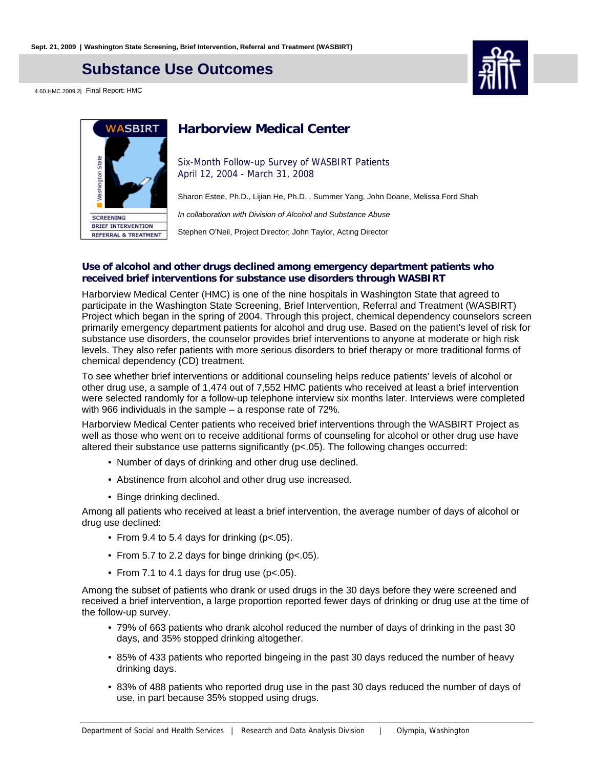## **Substance Use Outcomes**

4.60.HMC.2009.2| Final Report: HMC





## **Harborview Medical Center**

Six-Month Follow-up Survey of WASBIRT Patients April 12, 2004 - March 31, 2008

Sharon Estee, Ph.D., Lijian He, Ph.D. , Summer Yang, John Doane, Melissa Ford Shah

In collaboration with Division of Alcohol and Substance Abuse

Stephen O'Neil, Project Director; John Taylor, Acting Director

#### **Use of alcohol and other drugs declined among emergency department patients who received brief interventions for substance use disorders through WASBIRT**

Harborview Medical Center (HMC) is one of the nine hospitals in Washington State that agreed to participate in the Washington State Screening, Brief Intervention, Referral and Treatment (WASBIRT) Project which began in the spring of 2004. Through this project, chemical dependency counselors screen primarily emergency department patients for alcohol and drug use. Based on the patient's level of risk for substance use disorders, the counselor provides brief interventions to anyone at moderate or high risk levels. They also refer patients with more serious disorders to brief therapy or more traditional forms of chemical dependency (CD) treatment.

To see whether brief interventions or additional counseling helps reduce patients' levels of alcohol or other drug use, a sample of 1,474 out of 7,552 HMC patients who received at least a brief intervention were selected randomly for a follow-up telephone interview six months later. Interviews were completed with 966 individuals in the sample – a response rate of 72%.

Harborview Medical Center patients who received brief interventions through the WASBIRT Project as well as those who went on to receive additional forms of counseling for alcohol or other drug use have altered their substance use patterns significantly (p<.05). The following changes occurred:

- Number of days of drinking and other drug use declined.
- Abstinence from alcohol and other drug use increased.
- Binge drinking declined.

Among all patients who received at least a brief intervention, the average number of days of alcohol or drug use declined:

- From 9.4 to 5.4 days for drinking (p<.05).
- From 5.7 to 2.2 days for binge drinking (p<.05).
- From 7.1 to 4.1 days for drug use ( $p$ <.05).

Among the subset of patients who drank or used drugs in the 30 days before they were screened and received a brief intervention, a large proportion reported fewer days of drinking or drug use at the time of the follow-up survey.

- 79% of 663 patients who drank alcohol reduced the number of days of drinking in the past 30 days, and 35% stopped drinking altogether.
- 85% of 433 patients who reported bingeing in the past 30 days reduced the number of heavy drinking days.
- 83% of 488 patients who reported drug use in the past 30 days reduced the number of days of use, in part because 35% stopped using drugs.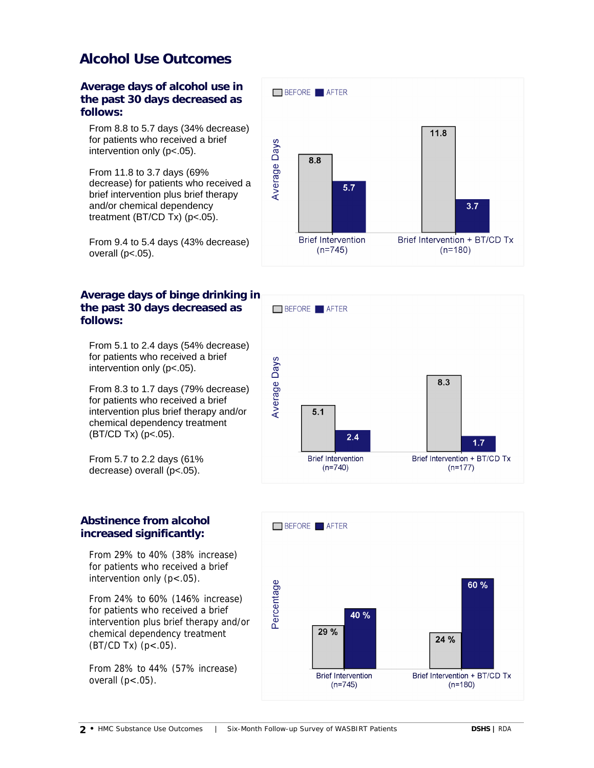## **Alcohol Use Outcomes**

**Average days of alcohol use in the past 30 days decreased as follows:**

From 8.8 to 5.7 days (34% decrease) for patients who received a brief intervention only (p<.05).

From 11.8 to 3.7 days (69% decrease) for patients who received a brief intervention plus brief therapy and/or chemical dependency treatment (BT/CD Tx) (p<.05).

From 9.4 to 5.4 days (43% decrease) overall  $(p<.05)$ .

### **Average days of binge drinking in the past 30 days decreased as follows:**

From 5.1 to 2.4 days (54% decrease) for patients who received a brief intervention only (p<.05).

From 8.3 to 1.7 days (79% decrease) for patients who received a brief intervention plus brief therapy and/or chemical dependency treatment (BT/CD Tx) (p<.05).

From 5.7 to 2.2 days (61% decrease) overall (p<.05).

### **Abstinence from alcohol increased significantly:**

From 29% to 40% (38% increase) for patients who received a brief intervention only  $(p < .05)$ .

From 24% to 60% (146% increase) for patients who received a brief intervention plus brief therapy and/or chemical dependency treatment  $(BT/CD Tx)$   $(p < .05)$ .

From 28% to 44% (57% increase) overall  $(p<.05)$ .





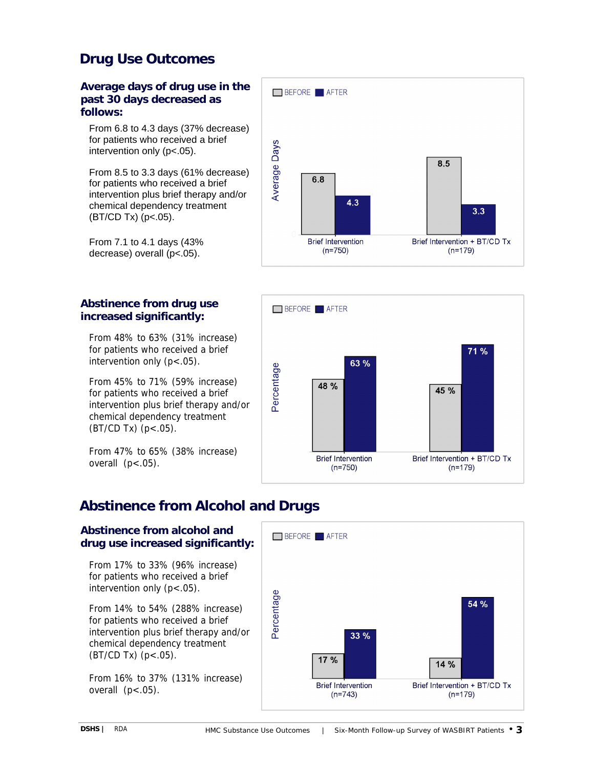# **Drug Use Outcomes**

#### **Average days of drug use in the past 30 days decreased as follows:**

From 6.8 to 4.3 days (37% decrease) for patients who received a brief intervention only (p<.05).

From 8.5 to 3.3 days (61% decrease) for patients who received a brief intervention plus brief therapy and/or chemical dependency treatment  $(BT/CD Tx)$  (p<.05).

From 7.1 to 4.1 days (43% decrease) overall (p<.05).

### **Abstinence from drug use increased significantly:**

From 48% to 63% (31% increase) for patients who received a brief intervention only (p<.05).

From 45% to 71% (59% increase) for patients who received a brief intervention plus brief therapy and/or chemical dependency treatment  $(BT/CD Tx)$   $(p < .05)$ .

From 47% to 65% (38% increase) overall  $(p<.05)$ .





# **Abstinence from Alcohol and Drugs**

### **Abstinence from alcohol and drug use increased significantly:**

From 17% to 33% (96% increase) for patients who received a brief intervention only  $(p < .05)$ .

From 14% to 54% (288% increase) for patients who received a brief intervention plus brief therapy and/or chemical dependency treatment (BT/CD Tx) (p<.05).

From 16% to 37% (131% increase) overall  $(p<.05)$ .